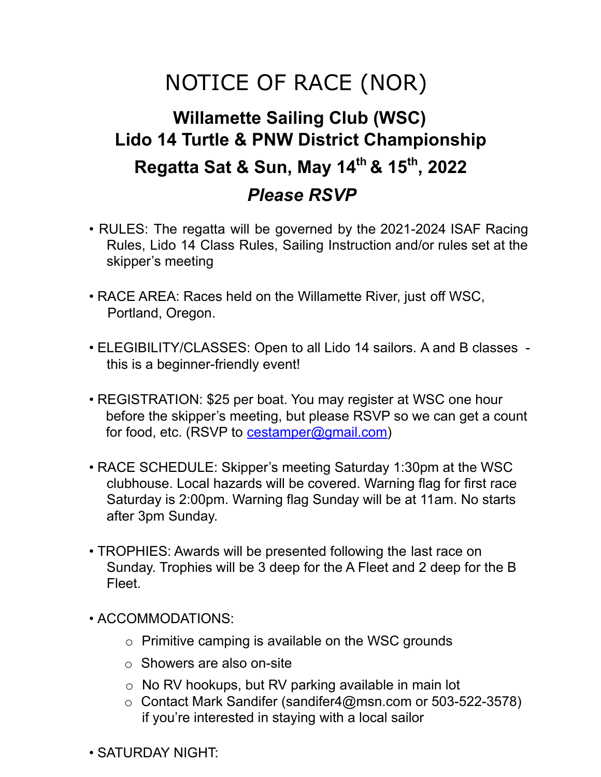## NOTICE OF RACE (NOR)

## **Willamette Sailing Club (WSC) Lido 14 Turtle & PNW District Championship Regatta Sat & Sun, May 14th & 15th , 2022** *Please RSVP*

- RULES: The regatta will be governed by the 2021-2024 ISAF Racing Rules, Lido 14 Class Rules, Sailing Instruction and/or rules set at the skipper's meeting
- RACE AREA: Races held on the Willamette River, just off WSC, Portland, Oregon.
- ELEGIBILITY/CLASSES: Open to all Lido 14 sailors. A and B classes this is a beginner-friendly event!
- REGISTRATION: \$25 per boat. You may register at WSC one hour before the skipper's meeting, but please RSVP so we can get a count for food, etc. (RSVP to cestamper@gmail.com)
- RACE SCHEDULE: Skipper's meeting Saturday 1:30pm at the WSC clubhouse. Local hazards will be covered. Warning flag for first race Saturday is 2:00pm. Warning flag Sunday will be at 11am. No starts after 3pm Sunday.
- TROPHIES: Awards will be presented following the last race on Sunday. Trophies will be 3 deep for the A Fleet and 2 deep for the B Fleet.
- ACCOMMODATIONS:
	- $\circ$  Primitive camping is available on the WSC grounds
	- o Showers are also on-site
	- o No RV hookups, but RV parking available in main lot
	- o Contact Mark Sandifer (sandifer4@msn.com or 503-522-3578) if you're interested in staying with a local sailor
- SATURDAY NIGHT: